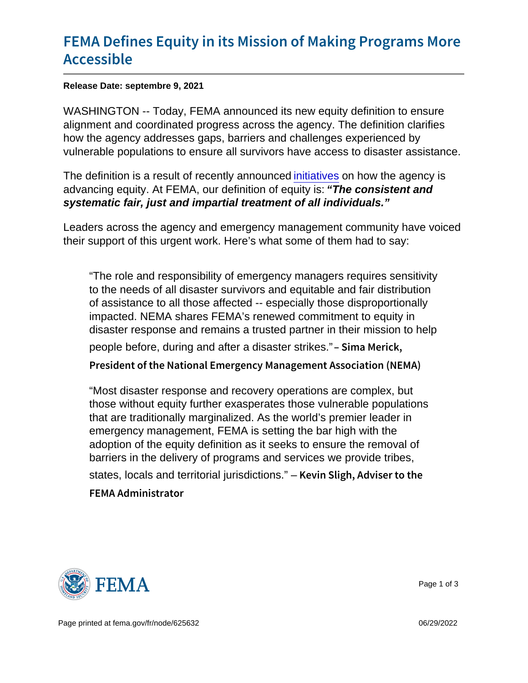## [FEMA Defines Equity in its Mission](https://www.fema.gov/press-release/20210909/fema-defines-equity-its-mission-making-programs-more-accessible) of Mal [Access](https://www.fema.gov/press-release/20210909/fema-defines-equity-its-mission-making-programs-more-accessible)ible

Release Date: septembre 9, 2021

WASHINGTON -- Today, FEMA announced its new equity definition to ensure alignment and coordinated progress across the agency. The definition clarifies how the agency addresses gaps, barriers and challenges experienced by vulnerable populations to ensure all survivors have access to disaster assistance.

The definition is a result of recently announced [initiatives](https://www.fema.gov/press-release/20210721/fema-announces-initial-initiatives-advance-equity) on how the agency is advancing equity. At FEMA, our definition of equity is: "The consistent and systematic fair, just and impartial treatment of all individuals."

Leaders across the agency and emergency management community have voiced their support of this urgent work. Here's what some of them had to say:

"The role and responsibility of emergency managers requires sensitivity to the needs of all disaster survivors and equitable and fair distribution of assistance to all those affected -- especially those disproportionally impacted. NEMA shares FEMA's renewed commitment to equity in disaster response and remains a trusted partner in their mission to help people before, during and after a disaster strikes." Sima Merick, President of the National Emergency Management Assoc

"Most disaster response and recovery operations are complex, but those without equity further exasperates those vulnerable populations that are traditionally marginalized. As the world's premier leader in emergency management, FEMA is setting the bar high with the adoption of the equity definition as it seeks to ensure the removal of barriers in the delivery of programs and services we provide tribes, states, locals and territorial jurisdictions." – Kevin Sligh, Adviser to the FEMA Administrator



Page 1 of 3

Page printed at [fema.gov/fr/node/625632](https://www.fema.gov/fr/node/625632) 06/29/2022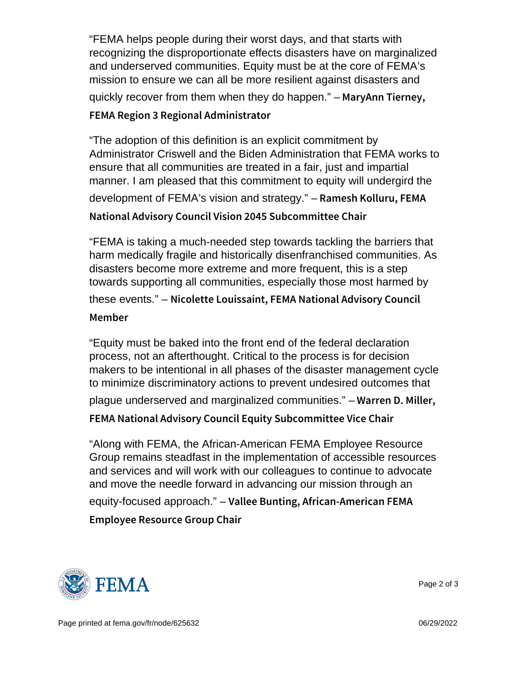"FEMA helps people during their worst days, and that starts with recognizing the disproportionate effects disasters have on marginalized and underserved communities. Equity must be at the core of FEMA's mission to ensure we can all be more resilient against disasters and quickly recover from them when they do happen."  $-$  M a r y A n n T i e r n e y, FEMA Region 3 Regional Administrator

```
"The adoption of this definition is an explicit commitment by
Administrator Criswell and the Biden Administration that FEMA works to
ensure that all communities are treated in a fair, just and impartial
manner. I am pleased that this commitment to equity will undergird the
development of FEMA's vision and strategy." – Ramesh Kolluru, FEMA
National Advisory Council Vision 2045 Subcommittee Ch
```
"FEMA is taking a much-needed step towards tackling the barriers that harm medically fragile and historically disenfranchised communities. As disasters become more extreme and more frequent, this is a step towards supporting all communities, especially those most harmed by these events." - Nicolette Louissaint, FEMA National Advisory Member

"Equity must be baked into the front end of the federal declaration process, not an afterthought. Critical to the process is for decision makers to be intentional in all phases of the disaster management cycle to minimize discriminatory actions to prevent undesired outcomes that

plague underserved and marginalized communities."  $-$  W a r r e n  $-$  D. Miller,

```
FEMA National Advisory Council Equity Subcommittee V
```
"Along with FEMA, the African-American FEMA Employee Resource Group remains steadfast in the implementation of accessible resources and services and will work with our colleagues to continue to advocate and move the needle forward in advancing our mission through an equity-focused approach." – Vallee Bunting, African-American FEMA Employee Resource Group Chair



Page 2 of 3

Page printed at [fema.gov/fr/node/625632](https://www.fema.gov/fr/node/625632) 06/29/2022